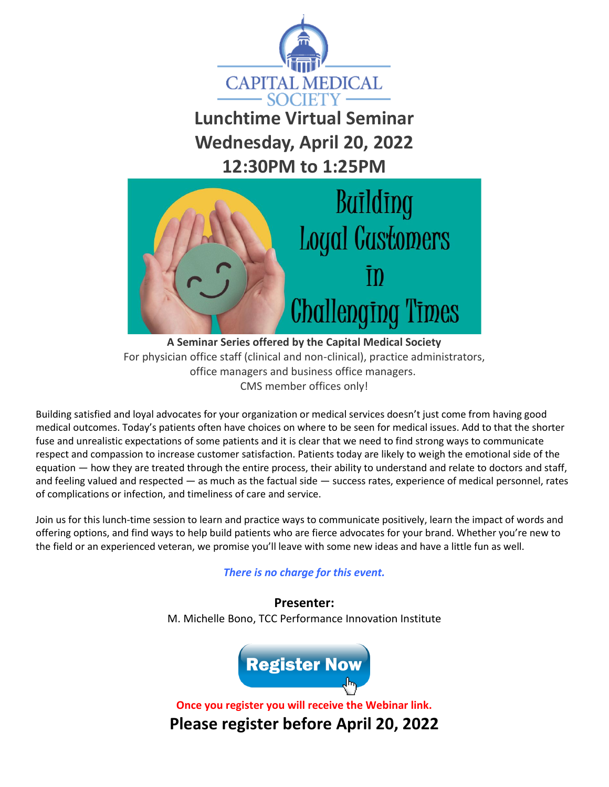

**Lunchtime Virtual Seminar Wednesday, April 20, 2022 12:30PM to 1:25PM**



**A Seminar Series offered by the Capital Medical Society** For physician office staff (clinical and non-clinical), practice administrators, office managers and business office managers. CMS member offices only!

Building satisfied and loyal advocates for your organization or medical services doesn't just come from having good medical outcomes. Today's patients often have choices on where to be seen for medical issues. Add to that the shorter fuse and unrealistic expectations of some patients and it is clear that we need to find strong ways to communicate respect and compassion to increase customer satisfaction. Patients today are likely to weigh the emotional side of the equation — how they are treated through the entire process, their ability to understand and relate to doctors and staff, and feeling valued and respected — as much as the factual side — success rates, experience of medical personnel, rates of complications or infection, and timeliness of care and service.

Join us for this lunch-time session to learn and practice ways to communicate positively, learn the impact of words and offering options, and find ways to help build patients who are fierce advocates for your brand. Whether you're new to the field or an experienced veteran, we promise you'll leave with some new ideas and have a little fun as well.

## *There is no charge for this event.*

**Presenter:** M. Michelle Bono, TCC Performance Innovation Institute



**Once you register you will receive the Webinar link. Please register before April 20, 2022**